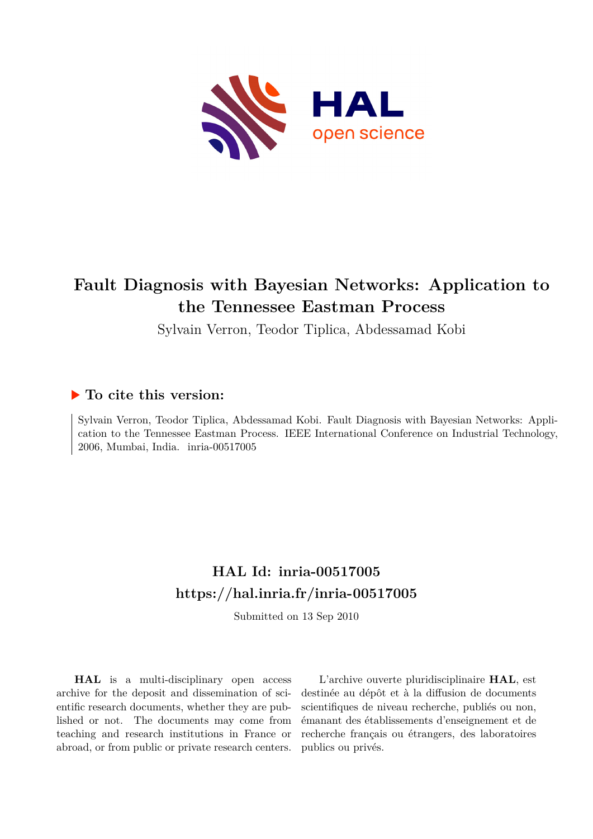

## **Fault Diagnosis with Bayesian Networks: Application to the Tennessee Eastman Process**

Sylvain Verron, Teodor Tiplica, Abdessamad Kobi

### **To cite this version:**

Sylvain Verron, Teodor Tiplica, Abdessamad Kobi. Fault Diagnosis with Bayesian Networks: Application to the Tennessee Eastman Process. IEEE International Conference on Industrial Technology, 2006, Mumbai, India. inria-00517005

## **HAL Id: inria-00517005 <https://hal.inria.fr/inria-00517005>**

Submitted on 13 Sep 2010

**HAL** is a multi-disciplinary open access archive for the deposit and dissemination of scientific research documents, whether they are published or not. The documents may come from teaching and research institutions in France or abroad, or from public or private research centers.

L'archive ouverte pluridisciplinaire **HAL**, est destinée au dépôt et à la diffusion de documents scientifiques de niveau recherche, publiés ou non, émanant des établissements d'enseignement et de recherche français ou étrangers, des laboratoires publics ou privés.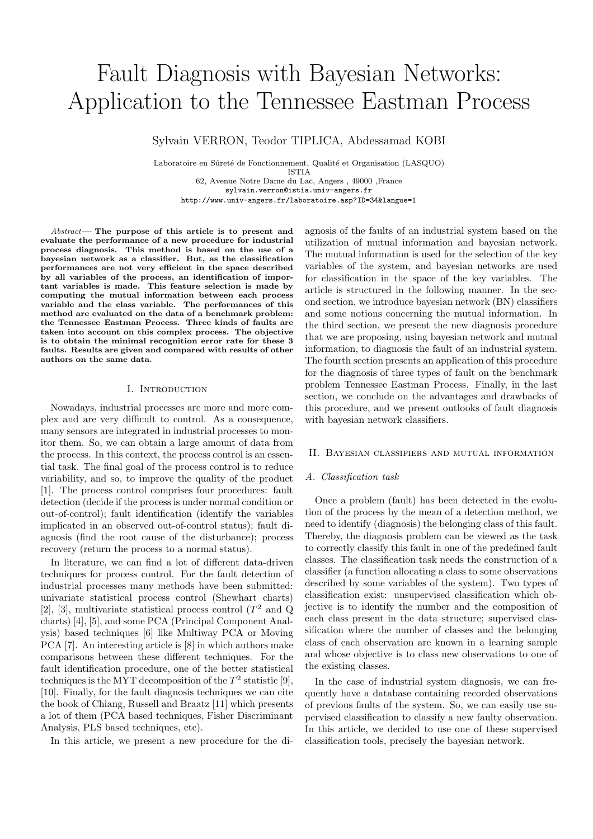# Fault Diagnosis with Bayesian Networks: Application to the Tennessee Eastman Process

Sylvain VERRON, Teodor TIPLICA, Abdessamad KOBI

Laboratoire en Sûreté de Fonctionnement, Qualité et Organisation (LASQUO) ISTIA 62, Avenue Notre Dame du Lac, Angers , 49000 ,France sylvain.verron@istia.univ-angers.fr http://www.univ-angers.fr/laboratoire.asp?ID=34&langue=1

Abstract— The purpose of this article is to present and evaluate the performance of a new procedure for industrial process diagnosis. This method is based on the use of a bayesian network as a classifier. But, as the classification performances are not very efficient in the space described by all variables of the process, an identification of important variables is made. This feature selection is made by computing the mutual information between each process variable and the class variable. The performances of this method are evaluated on the data of a benchmark problem: the Tennessee Eastman Process. Three kinds of faults are taken into account on this complex process. The objective is to obtain the minimal recognition error rate for these 3 faults. Results are given and compared with results of other authors on the same data.

#### I. Introduction

Nowadays, industrial processes are more and more complex and are very difficult to control. As a consequence, many sensors are integrated in industrial processes to monitor them. So, we can obtain a large amount of data from the process. In this context, the process control is an essential task. The final goal of the process control is to reduce variability, and so, to improve the quality of the product [1]. The process control comprises four procedures: fault detection (decide if the process is under normal condition or out-of-control); fault identification (identify the variables implicated in an observed out-of-control status); fault diagnosis (find the root cause of the disturbance); process recovery (return the process to a normal status).

In literature, we can find a lot of different data-driven techniques for process control. For the fault detection of industrial processes many methods have been submitted: univariate statistical process control (Shewhart charts) [2], [3], multivariate statistical process control  $(T^2 \text{ and } Q)$ charts) [4], [5], and some PCA (Principal Component Analysis) based techniques [6] like Multiway PCA or Moving PCA [7]. An interesting article is [8] in which authors make comparisons between these different techniques. For the fault identification procedure, one of the better statistical techniques is the MYT decomposition of the  $T^2$  statistic [9], [10]. Finally, for the fault diagnosis techniques we can cite the book of Chiang, Russell and Braatz [11] which presents a lot of them (PCA based techniques, Fisher Discriminant Analysis, PLS based techniques, etc).

In this article, we present a new procedure for the di-

agnosis of the faults of an industrial system based on the utilization of mutual information and bayesian network. The mutual information is used for the selection of the key variables of the system, and bayesian networks are used for classification in the space of the key variables. The article is structured in the following manner. In the second section, we introduce bayesian network (BN) classifiers and some notions concerning the mutual information. In the third section, we present the new diagnosis procedure that we are proposing, using bayesian network and mutual information, to diagnosis the fault of an industrial system. The fourth section presents an application of this procedure for the diagnosis of three types of fault on the benchmark problem Tennessee Eastman Process. Finally, in the last section, we conclude on the advantages and drawbacks of this procedure, and we present outlooks of fault diagnosis with bayesian network classifiers.

#### II. Bayesian classifiers and mutual information

#### A. Classification task

Once a problem (fault) has been detected in the evolution of the process by the mean of a detection method, we need to identify (diagnosis) the belonging class of this fault. Thereby, the diagnosis problem can be viewed as the task to correctly classify this fault in one of the predefined fault classes. The classification task needs the construction of a classifier (a function allocating a class to some observations described by some variables of the system). Two types of classification exist: unsupervised classification which objective is to identify the number and the composition of each class present in the data structure; supervised classification where the number of classes and the belonging class of each observation are known in a learning sample and whose objective is to class new observations to one of the existing classes.

In the case of industrial system diagnosis, we can frequently have a database containing recorded observations of previous faults of the system. So, we can easily use supervised classification to classify a new faulty observation. In this article, we decided to use one of these supervised classification tools, precisely the bayesian network.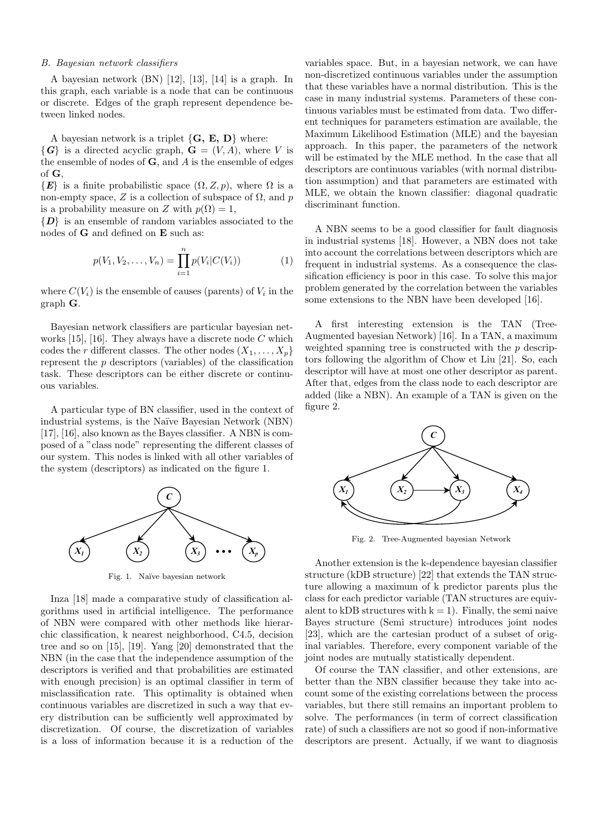#### B. Bayesian network classifiers

A bayesian network (BN) [12], [13], [14] is a graph. In this graph, each variable is a node that can be continuous or discrete. Edges of the graph represent dependence between linked nodes.

A bayesian network is a triplet  $\{G, E, D\}$  where:

 $\{G\}$  is a directed acyclic graph,  $G = (V, A)$ , where V is the ensemble of nodes of **, and**  $\vec{A}$  **is the ensemble of edges** of G,

 $\{E\}$  is a finite probabilistic space  $(\Omega, Z, p)$ , where  $\Omega$  is a non-empty space, Z is a collection of subspace of  $\Omega$ , and p is a probability measure on Z with  $p(\Omega) = 1$ ,

 $\{D\}$  is an ensemble of random variables associated to the nodes of G and defined on E such as:

$$
p(V_1, V_2, \dots, V_n) = \prod_{i=1}^n p(V_i|C(V_i))
$$
 (1)

where  $C(V_i)$  is the ensemble of causes (parents) of  $V_i$  in the graph G.

Bayesian network classifiers are particular bayesian networks [15], [16]. They always have a discrete node  $C$  which codes the r different classes. The other nodes  $(X_1, \ldots, X_p)$ represent the p descriptors (variables) of the classification task. These descriptors can be either discrete or continuous variables.

A particular type of BN classifier, used in the context of industrial systems, is the Naïve Bayesian Network (NBN) [17], [16], also known as the Bayes classifier. A NBN is composed of a "class node" representing the different classes of our system. This nodes is linked with all other variables of the system (descriptors) as indicated on the figure 1.



Fig. 1. Na¨ıve bayesian network

Inza [18] made a comparative study of classification algorithms used in artificial intelligence. The performance of NBN were compared with other methods like hierarchic classification, k nearest neighborhood, C4.5, decision tree and so on [15], [19]. Yang [20] demonstrated that the NBN (in the case that the independence assumption of the descriptors is verified and that probabilities are estimated with enough precision) is an optimal classifier in term of misclassification rate. This optimality is obtained when continuous variables are discretized in such a way that every distribution can be sufficiently well approximated by discretization. Of course, the discretization of variables is a loss of information because it is a reduction of the

variables space. But, in a bayesian network, we can have non-discretized continuous variables under the assumption that these variables have a normal distribution. This is the case in many industrial systems. Parameters of these continuous variables must be estimated from data. Two different techniques for parameters estimation are available, the Maximum Likelihood Estimation (MLE) and the bayesian approach. In this paper, the parameters of the network will be estimated by the MLE method. In the case that all descriptors are continuous variables (with normal distribution assumption) and that parameters are estimated with MLE, we obtain the known classifier: diagonal quadratic discriminant function.

A NBN seems to be a good classifier for fault diagnosis in industrial systems [18]. However, a NBN does not take into account the correlations between descriptors which are frequent in industrial systems. As a consequence the classification efficiency is poor in this case. To solve this major problem generated by the correlation between the variables some extensions to the NBN have been developed [16].

A first interesting extension is the TAN (Tree-Augmented bayesian Network) [16]. In a TAN, a maximum weighted spanning tree is constructed with the  $p$  descriptors following the algorithm of Chow et Liu [21]. So, each descriptor will have at most one other descriptor as parent. After that, edges from the class node to each descriptor are added (like a NBN). An example of a TAN is given on the figure 2.



Fig. 2. Tree-Augmented bayesian Network

Another extension is the k-dependence bayesian classifier structure (kDB structure) [22] that extends the TAN structure allowing a maximum of k predictor parents plus the class for each predictor variable (TAN structures are equivalent to kDB structures with  $k = 1$ ). Finally, the semi naive Bayes structure (Semi structure) introduces joint nodes [23], which are the cartesian product of a subset of original variables. Therefore, every component variable of the joint nodes are mutually statistically dependent.

Of course the TAN classifier, and other extensions, are better than the NBN classifier because they take into account some of the existing correlations between the process variables, but there still remains an important problem to solve. The performances (in term of correct classification rate) of such a classifiers are not so good if non-informative descriptors are present. Actually, if we want to diagnosis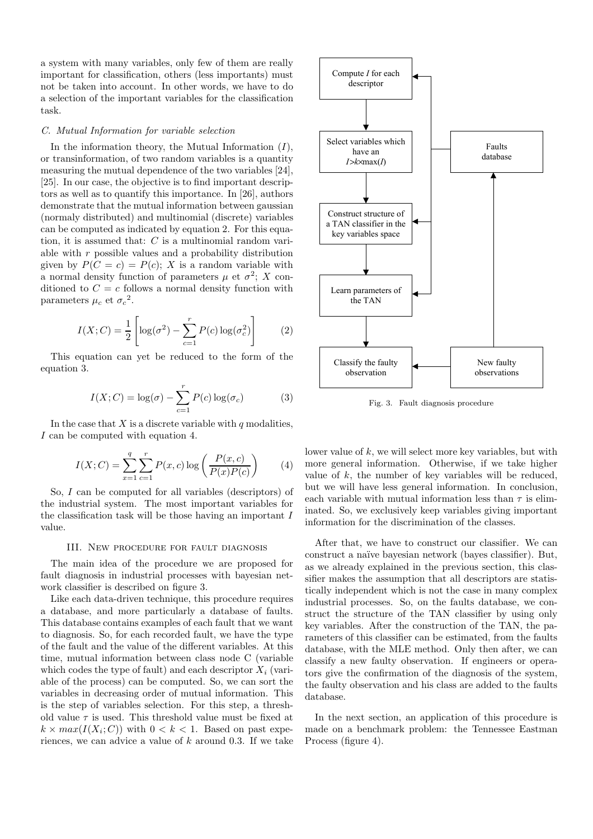a system with many variables, only few of them are really important for classification, others (less importants) must not be taken into account. In other words, we have to do a selection of the important variables for the classification task.

#### C. Mutual Information for variable selection

In the information theory, the Mutual Information  $(I)$ , or transinformation, of two random variables is a quantity measuring the mutual dependence of the two variables [24], [25]. In our case, the objective is to find important descriptors as well as to quantify this importance. In [26], authors demonstrate that the mutual information between gaussian (normaly distributed) and multinomial (discrete) variables can be computed as indicated by equation 2. For this equation, it is assumed that:  $C$  is a multinomial random variable with  $r$  possible values and a probability distribution given by  $P(C = c) = P(c)$ ; X is a random variable with a normal density function of parameters  $\mu$  et  $\sigma^2$ ; X conditioned to  $C = c$  follows a normal density function with parameters  $\mu_c$  et  $\sigma_c^2$ .

$$
I(X;C) = \frac{1}{2} \left[ \log(\sigma^2) - \sum_{c=1}^r P(c) \log(\sigma_c^2) \right]
$$
 (2)

This equation can yet be reduced to the form of the equation 3.

$$
I(X;C) = \log(\sigma) - \sum_{c=1}^{r} P(c) \log(\sigma_c)
$$
 (3)

In the case that  $X$  is a discrete variable with  $q$  modalities, I can be computed with equation 4.

$$
I(X;C) = \sum_{x=1}^{q} \sum_{c=1}^{r} P(x,c) \log \left( \frac{P(x,c)}{P(x)P(c)} \right)
$$
(4)

So, I can be computed for all variables (descriptors) of the industrial system. The most important variables for the classification task will be those having an important I value.

#### III. New procedure for fault diagnosis

The main idea of the procedure we are proposed for fault diagnosis in industrial processes with bayesian network classifier is described on figure 3.

Like each data-driven technique, this procedure requires a database, and more particularly a database of faults. This database contains examples of each fault that we want to diagnosis. So, for each recorded fault, we have the type of the fault and the value of the different variables. At this time, mutual information between class node C (variable which codes the type of fault) and each descriptor  $X_i$  (variable of the process) can be computed. So, we can sort the variables in decreasing order of mutual information. This is the step of variables selection. For this step, a threshold value  $\tau$  is used. This threshold value must be fixed at  $k \times max(I(X_i; C))$  with  $0 < k < 1$ . Based on past experiences, we can advice a value of  $k$  around 0.3. If we take



Fig. 3. Fault diagnosis procedure

lower value of  $k$ , we will select more key variables, but with more general information. Otherwise, if we take higher value of  $k$ , the number of key variables will be reduced. but we will have less general information. In conclusion, each variable with mutual information less than  $\tau$  is eliminated. So, we exclusively keep variables giving important information for the discrimination of the classes.

After that, we have to construct our classifier. We can construct a naïve bayesian network (bayes classifier). But, as we already explained in the previous section, this classifier makes the assumption that all descriptors are statistically independent which is not the case in many complex industrial processes. So, on the faults database, we construct the structure of the TAN classifier by using only key variables. After the construction of the TAN, the parameters of this classifier can be estimated, from the faults database, with the MLE method. Only then after, we can classify a new faulty observation. If engineers or operators give the confirmation of the diagnosis of the system, the faulty observation and his class are added to the faults database.

In the next section, an application of this procedure is made on a benchmark problem: the Tennessee Eastman Process (figure 4).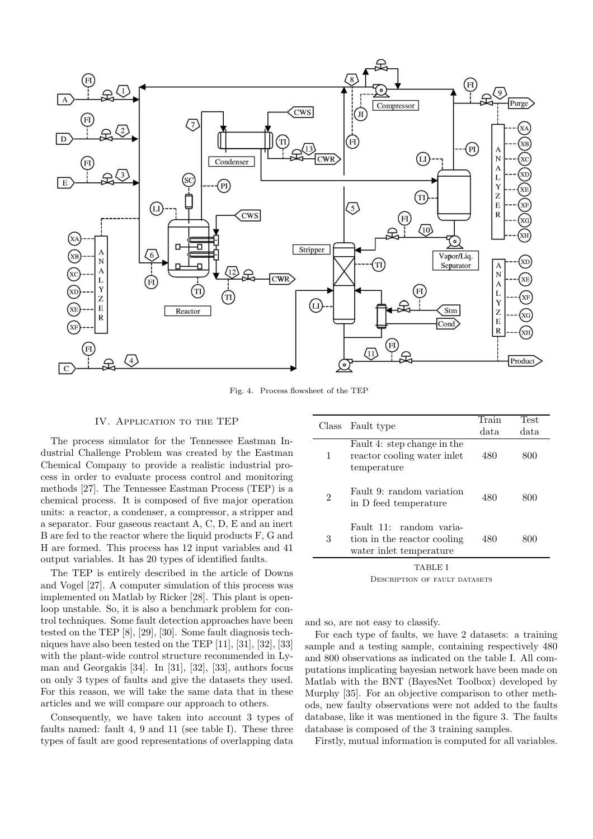

Fig. 4. Process flowsheet of the TEP

#### IV. Application to the TEP

The process simulator for the Tennessee Eastman Industrial Challenge Problem was created by the Eastman Chemical Company to provide a realistic industrial process in order to evaluate process control and monitoring methods [27]. The Tennessee Eastman Process (TEP) is a chemical process. It is composed of five major operation units: a reactor, a condenser, a compressor, a stripper and a separator. Four gaseous reactant A, C, D, E and an inert B are fed to the reactor where the liquid products F, G and H are formed. This process has 12 input variables and 41 output variables. It has 20 types of identified faults.

The TEP is entirely described in the article of Downs and Vogel [27]. A computer simulation of this process was implemented on Matlab by Ricker [28]. This plant is openloop unstable. So, it is also a benchmark problem for control techniques. Some fault detection approaches have been tested on the TEP [8], [29], [30]. Some fault diagnosis techniques have also been tested on the TEP [11], [31], [32], [33] with the plant-wide control structure recommended in Lyman and Georgakis [34]. In [31], [32], [33], authors focus on only 3 types of faults and give the datasets they used. For this reason, we will take the same data that in these articles and we will compare our approach to others.

Consequently, we have taken into account 3 types of faults named: fault 4, 9 and 11 (see table I). These three types of fault are good representations of overlapping data

| Class | Fault type                                                                        | Train | Test |
|-------|-----------------------------------------------------------------------------------|-------|------|
|       |                                                                                   | data  | data |
| 1     | Fault 4: step change in the<br>reactor cooling water inlet<br>temperature         | 480   | 800  |
| 2     | Fault 9: random variation<br>in D feed temperature                                | 480   | 800  |
| 3     | Fault 11: random varia-<br>tion in the reactor cooling<br>water inlet temperature | 480   | 800  |
|       | TABLE I                                                                           |       |      |

Description of fault datasets

and so, are not easy to classify.

For each type of faults, we have 2 datasets: a training sample and a testing sample, containing respectively 480 and 800 observations as indicated on the table I. All computations implicating bayesian network have been made on Matlab with the BNT (BayesNet Toolbox) developed by Murphy [35]. For an objective comparison to other methods, new faulty observations were not added to the faults database, like it was mentioned in the figure 3. The faults database is composed of the 3 training samples.

Firstly, mutual information is computed for all variables.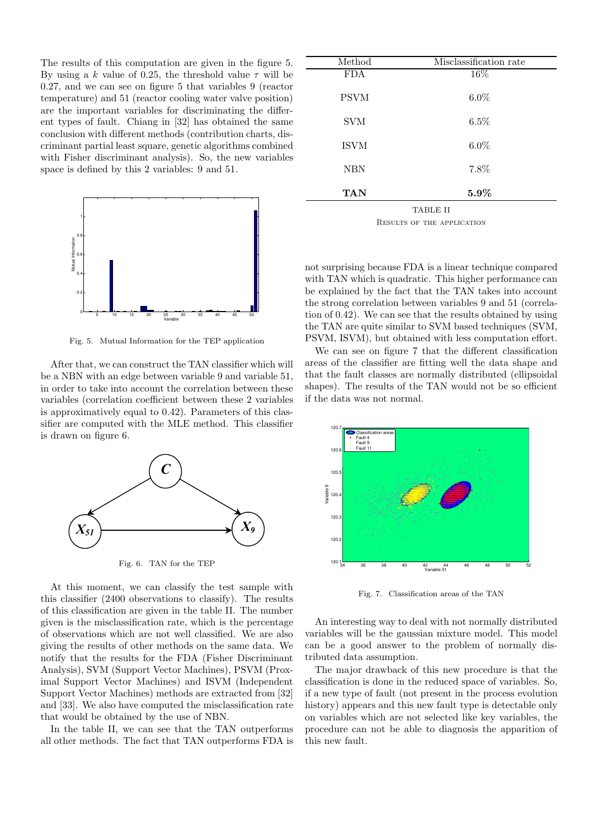The results of this computation are given in the figure 5. By using a k value of 0.25, the threshold value  $\tau$  will be 0.27, and we can see on figure 5 that variables 9 (reactor temperature) and 51 (reactor cooling water valve position) are the important variables for discriminating the different types of fault. Chiang in [32] has obtained the same conclusion with different methods (contribution charts, discriminant partial least square, genetic algorithms combined with Fisher discriminant analysis). So, the new variables space is defined by this 2 variables: 9 and 51.



Fig. 5. Mutual Information for the TEP application

After that, we can construct the TAN classifier which will be a NBN with an edge between variable 9 and variable 51, in order to take into account the correlation between these variables (correlation coefficient between these 2 variables is approximatively equal to 0.42). Parameters of this classifier are computed with the MLE method. This classifier is drawn on figure 6.



Fig. 6. TAN for the TEP

At this moment, we can classify the test sample with this classifier (2400 observations to classify). The results of this classification are given in the table II. The number given is the misclassification rate, which is the percentage of observations which are not well classified. We are also giving the results of other methods on the same data. We notify that the results for the FDA (Fisher Discriminant Analysis), SVM (Support Vector Machines), PSVM (Proximal Support Vector Machines) and ISVM (Independent Support Vector Machines) methods are extracted from [32] and [33]. We also have computed the misclassification rate that would be obtained by the use of NBN.

In the table II, we can see that the TAN outperforms all other methods. The fact that TAN outperforms FDA is

| Method      | Misclassification rate |  |
|-------------|------------------------|--|
| <b>FDA</b>  | 16%                    |  |
|             |                        |  |
| <b>PSVM</b> | $6.0\%$                |  |
|             |                        |  |
|             |                        |  |
| <b>SVM</b>  | $6.5\%$                |  |
|             |                        |  |
| <b>ISVM</b> | $6.0\%$                |  |
|             |                        |  |
| <b>NBN</b>  | 7.8%                   |  |
|             |                        |  |
| TAN         | $5.9\%$                |  |
|             |                        |  |
| TABLE II    |                        |  |

Results of the application

not surprising because FDA is a linear technique compared with TAN which is quadratic. This higher performance can be explained by the fact that the TAN takes into account the strong correlation between variables 9 and 51 (correlation of 0.42). We can see that the results obtained by using the TAN are quite similar to SVM based techniques (SVM, PSVM, ISVM), but obtained with less computation effort.

We can see on figure 7 that the different classification areas of the classifier are fitting well the data shape and that the fault classes are normally distributed (ellipsoidal shapes). The results of the TAN would not be so efficient if the data was not normal.



Fig. 7. Classification areas of the TAN

An interesting way to deal with not normally distributed variables will be the gaussian mixture model. This model can be a good answer to the problem of normally distributed data assumption.

The major drawback of this new procedure is that the classification is done in the reduced space of variables. So, if a new type of fault (not present in the process evolution history) appears and this new fault type is detectable only on variables which are not selected like key variables, the procedure can not be able to diagnosis the apparition of this new fault.